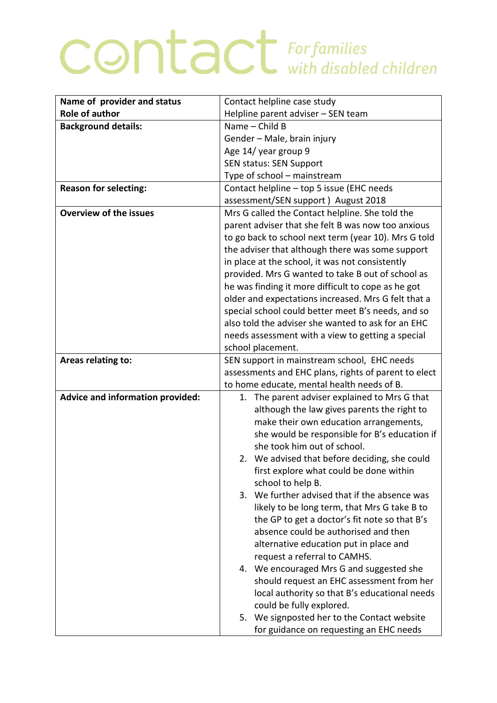## **CONTACT** For families

| Name of provider and status      | Contact helpline case study                                                  |
|----------------------------------|------------------------------------------------------------------------------|
| <b>Role of author</b>            | Helpline parent adviser - SEN team                                           |
| <b>Background details:</b>       | Name - Child B                                                               |
|                                  | Gender - Male, brain injury                                                  |
|                                  | Age 14/ year group 9                                                         |
|                                  | SEN status: SEN Support                                                      |
|                                  | Type of school - mainstream                                                  |
| <b>Reason for selecting:</b>     | Contact helpline - top 5 issue (EHC needs                                    |
|                                  | assessment/SEN support) August 2018                                          |
| <b>Overview of the issues</b>    | Mrs G called the Contact helpline. She told the                              |
|                                  | parent adviser that she felt B was now too anxious                           |
|                                  | to go back to school next term (year 10). Mrs G told                         |
|                                  | the adviser that although there was some support                             |
|                                  | in place at the school, it was not consistently                              |
|                                  | provided. Mrs G wanted to take B out of school as                            |
|                                  | he was finding it more difficult to cope as he got                           |
|                                  | older and expectations increased. Mrs G felt that a                          |
|                                  | special school could better meet B's needs, and so                           |
|                                  | also told the adviser she wanted to ask for an EHC                           |
|                                  | needs assessment with a view to getting a special                            |
|                                  | school placement.                                                            |
| Areas relating to:               | SEN support in mainstream school, EHC needs                                  |
|                                  | assessments and EHC plans, rights of parent to elect                         |
|                                  | to home educate, mental health needs of B.                                   |
| Advice and information provided: | 1. The parent adviser explained to Mrs G that                                |
|                                  | although the law gives parents the right to                                  |
|                                  | make their own education arrangements,                                       |
|                                  | she would be responsible for B's education if<br>she took him out of school. |
|                                  | 2. We advised that before deciding, she could                                |
|                                  | first explore what could be done within                                      |
|                                  | school to help B.                                                            |
|                                  | 3. We further advised that if the absence was                                |
|                                  | likely to be long term, that Mrs G take B to                                 |
|                                  | the GP to get a doctor's fit note so that B's                                |
|                                  | absence could be authorised and then                                         |
|                                  | alternative education put in place and                                       |
|                                  | request a referral to CAMHS.                                                 |
|                                  | 4. We encouraged Mrs G and suggested she                                     |
|                                  | should request an EHC assessment from her                                    |
|                                  | local authority so that B's educational needs                                |
|                                  | could be fully explored.                                                     |
|                                  | We signposted her to the Contact website<br>5.                               |
|                                  | for guidance on requesting an EHC needs                                      |